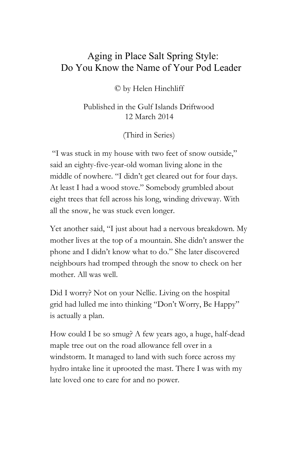## Aging in Place Salt Spring Style: Do You Know the Name of Your Pod Leader

© by Helen Hinchliff

Published in the Gulf Islands Driftwood 12 March 2014

(Third in Series)

"I was stuck in my house with two feet of snow outside," said an eighty-five-year-old woman living alone in the middle of nowhere. "I didn't get cleared out for four days. At least I had a wood stove." Somebody grumbled about eight trees that fell across his long, winding driveway. With all the snow, he was stuck even longer.

Yet another said, "I just about had a nervous breakdown. My mother lives at the top of a mountain. She didn't answer the phone and I didn't know what to do." She later discovered neighbours had tromped through the snow to check on her mother. All was well.

Did I worry? Not on your Nellie. Living on the hospital grid had lulled me into thinking "Don't Worry, Be Happy" is actually a plan.

How could I be so smug? A few years ago, a huge, half-dead maple tree out on the road allowance fell over in a windstorm. It managed to land with such force across my hydro intake line it uprooted the mast. There I was with my late loved one to care for and no power.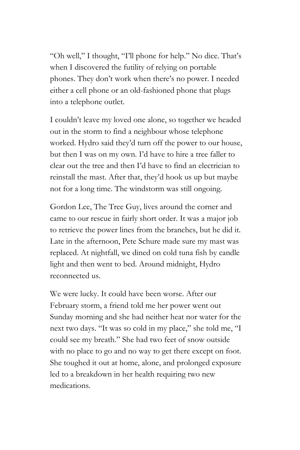"Oh well," I thought, "I'll phone for help." No dice. That's when I discovered the futility of relying on portable phones. They don't work when there's no power. I needed either a cell phone or an old-fashioned phone that plugs into a telephone outlet.

I couldn't leave my loved one alone, so together we headed out in the storm to find a neighbour whose telephone worked. Hydro said they'd turn off the power to our house, but then I was on my own. I'd have to hire a tree faller to clear out the tree and then I'd have to find an electrician to reinstall the mast. After that, they'd hook us up but maybe not for a long time. The windstorm was still ongoing.

Gordon Lee, The Tree Guy, lives around the corner and came to our rescue in fairly short order. It was a major job to retrieve the power lines from the branches, but he did it. Late in the afternoon, Pete Schure made sure my mast was replaced. At nightfall, we dined on cold tuna fish by candle light and then went to bed. Around midnight, Hydro reconnected us.

We were lucky. It could have been worse. After our February storm, a friend told me her power went out Sunday morning and she had neither heat nor water for the next two days. "It was so cold in my place," she told me, "I could see my breath." She had two feet of snow outside with no place to go and no way to get there except on foot. She toughed it out at home, alone, and prolonged exposure led to a breakdown in her health requiring two new medications.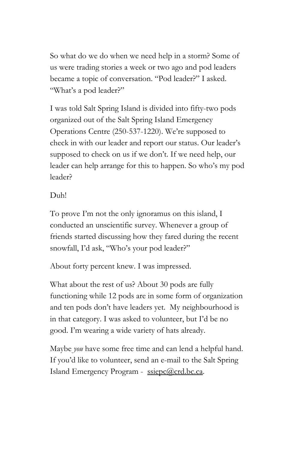So what do we do when we need help in a storm? Some of us were trading stories a week or two ago and pod leaders became a topic of conversation. "Pod leader?" I asked. "What's a pod leader?"

I was told Salt Spring Island is divided into fifty-two pods organized out of the Salt Spring Island Emergency Operations Centre (250-537-1220). We're supposed to check in with our leader and report our status. Our leader's supposed to check on us if we don't. If we need help, our leader can help arrange for this to happen. So who's my pod leader?

## Duh!

To prove I'm not the only ignoramus on this island, I conducted an unscientific survey. Whenever a group of friends started discussing how they fared during the recent snowfall, I'd ask, "Who's your pod leader?"

About forty percent knew. I was impressed.

What about the rest of us? About 30 pods are fully functioning while 12 pods are in some form of organization and ten pods don't have leaders yet. My neighbourhood is in that category. I was asked to volunteer, but I'd be no good. I'm wearing a wide variety of hats already.

Maybe *you* have some free time and can lend a helpful hand. If you'd like to volunteer, send an e-mail to the Salt Spring Island Emergency Program - [ssiepc@crd.bc.ca.](mailto:ssiepc@crd.bc.ca)